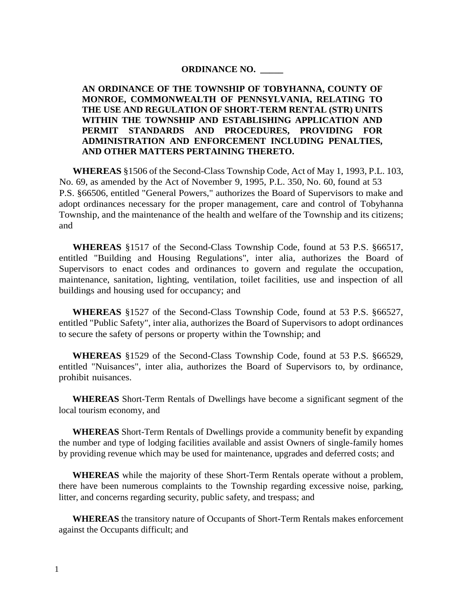#### **ORDINANCE NO. \_\_\_\_\_**

**AN ORDINANCE OF THE TOWNSHIP OF TOBYHANNA, COUNTY OF MONROE, COMMONWEALTH OF PENNSYLVANIA, RELATING TO THE USE AND REGULATION OF SHORT-TERM RENTAL (STR) UNITS WITHIN THE TOWNSHIP AND ESTABLISHING APPLICATION AND PERMIT STANDARDS AND PROCEDURES, PROVIDING FOR ADMINISTRATION AND ENFORCEMENT INCLUDING PENALTIES, AND OTHER MATTERS PERTAINING THERETO.**

**WHEREAS** §1506 of the Second-Class Township Code, Act of May 1, 1993, P.L. 103, No. 69, as amended by the Act of November 9, 1995, P.L. 350, No. 60, found at 53 P.S. §66506, entitled "General Powers," authorizes the Board of Supervisors to make and adopt ordinances necessary for the proper management, care and control of Tobyhanna Township, and the maintenance of the health and welfare of the Township and its citizens; and

**WHEREAS** §1517 of the Second-Class Township Code, found at 53 P.S. §66517, entitled "Building and Housing Regulations", inter alia, authorizes the Board of Supervisors to enact codes and ordinances to govern and regulate the occupation, maintenance, sanitation, lighting, ventilation, toilet facilities, use and inspection of all buildings and housing used for occupancy; and

**WHEREAS** §1527 of the Second-Class Township Code, found at 53 P.S. §66527, entitled "Public Safety", inter alia, authorizes the Board of Supervisors to adopt ordinances to secure the safety of persons or property within the Township; and

**WHEREAS** §1529 of the Second-Class Township Code, found at 53 P.S. §66529, entitled "Nuisances", inter alia, authorizes the Board of Supervisors to, by ordinance, prohibit nuisances.

**WHEREAS** Short-Term Rentals of Dwellings have become a significant segment of the local tourism economy, and

**WHEREAS** Short-Term Rentals of Dwellings provide a community benefit by expanding the number and type of lodging facilities available and assist Owners of single-family homes by providing revenue which may be used for maintenance, upgrades and deferred costs; and

**WHEREAS** while the majority of these Short-Term Rentals operate without a problem, there have been numerous complaints to the Township regarding excessive noise, parking, litter, and concerns regarding security, public safety, and trespass; and

**WHEREAS** the transitory nature of Occupants of Short-Term Rentals makes enforcement against the Occupants difficult; and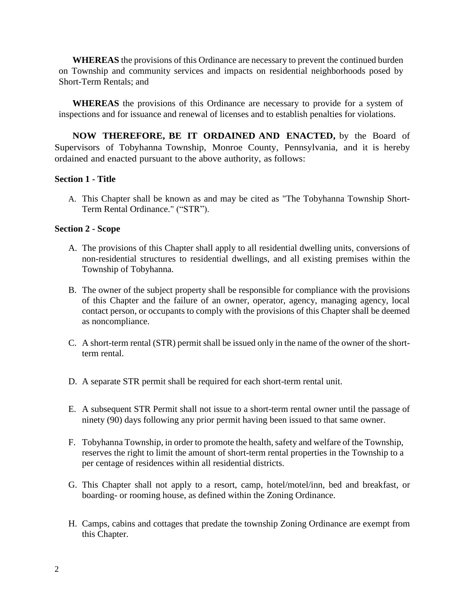**WHEREAS** the provisions of this Ordinance are necessary to prevent the continued burden on Township and community services and impacts on residential neighborhoods posed by Short-Term Rentals; and

**WHEREAS** the provisions of this Ordinance are necessary to provide for a system of inspections and for issuance and renewal of licenses and to establish penalties for violations.

**NOW THEREFORE, BE IT ORDAINED AND ENACTED,** by the Board of Supervisors of Tobyhanna Township, Monroe County, Pennsylvania, and it is hereby ordained and enacted pursuant to the above authority, as follows:

#### **Section 1 - Title**

A. This Chapter shall be known as and may be cited as "The Tobyhanna Township Short-Term Rental Ordinance." ("STR").

#### **Section 2 - Scope**

- A. The provisions of this Chapter shall apply to all residential dwelling units, conversions of non-residential structures to residential dwellings, and all existing premises within the Township of Tobyhanna.
- B. The owner of the subject property shall be responsible for compliance with the provisions of this Chapter and the failure of an owner, operator, agency, managing agency, local contact person, or occupants to comply with the provisions of this Chapter shall be deemed as noncompliance.
- C. A short-term rental (STR) permit shall be issued only in the name of the owner of the shortterm rental.
- D. A separate STR permit shall be required for each short-term rental unit.
- E. A subsequent STR Permit shall not issue to a short-term rental owner until the passage of ninety (90) days following any prior permit having been issued to that same owner.
- F. Tobyhanna Township, in order to promote the health, safety and welfare of the Township, reserves the right to limit the amount of short-term rental properties in the Township to a per centage of residences within all residential districts.
- G. This Chapter shall not apply to a resort, camp, hotel/motel/inn, bed and breakfast, or boarding- or rooming house, as defined within the Zoning Ordinance.
- H. Camps, cabins and cottages that predate the township Zoning Ordinance are exempt from this Chapter.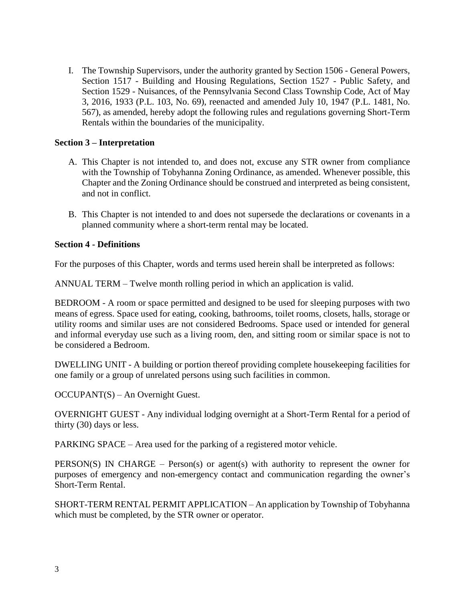I. The Township Supervisors, under the authority granted by Section 1506 - General Powers, Section 1517 - Building and Housing Regulations, Section 1527 - Public Safety, and Section 1529 - Nuisances, of the Pennsylvania Second Class Township Code, Act of May 3, 2016, 1933 (P.L. 103, No. 69), reenacted and amended July 10, 1947 (P.L. 1481, No. 567), as amended, hereby adopt the following rules and regulations governing Short-Term Rentals within the boundaries of the municipality.

# **Section 3 – Interpretation**

- A. This Chapter is not intended to, and does not, excuse any STR owner from compliance with the Township of Tobyhanna Zoning Ordinance, as amended. Whenever possible, this Chapter and the Zoning Ordinance should be construed and interpreted as being consistent, and not in conflict.
- B. This Chapter is not intended to and does not supersede the declarations or covenants in a planned community where a short-term rental may be located.

### **Section 4 - Definitions**

For the purposes of this Chapter, words and terms used herein shall be interpreted as follows:

ANNUAL TERM – Twelve month rolling period in which an application is valid.

BEDROOM - A room or space permitted and designed to be used for sleeping purposes with two means of egress. Space used for eating, cooking, bathrooms, toilet rooms, closets, halls, storage or utility rooms and similar uses are not considered Bedrooms. Space used or intended for general and informal everyday use such as a living room, den, and sitting room or similar space is not to be considered a Bedroom.

DWELLING UNIT - A building or portion thereof providing complete housekeeping facilities for one family or a group of unrelated persons using such facilities in common.

OCCUPANT(S) – An Overnight Guest.

OVERNIGHT GUEST - Any individual lodging overnight at a Short-Term Rental for a period of thirty (30) days or less.

PARKING SPACE – Area used for the parking of a registered motor vehicle.

PERSON(S) IN CHARGE – Person(s) or agent(s) with authority to represent the owner for purposes of emergency and non-emergency contact and communication regarding the owner's Short-Term Rental.

SHORT-TERM RENTAL PERMIT APPLICATION – An application by Township of Tobyhanna which must be completed, by the STR owner or operator.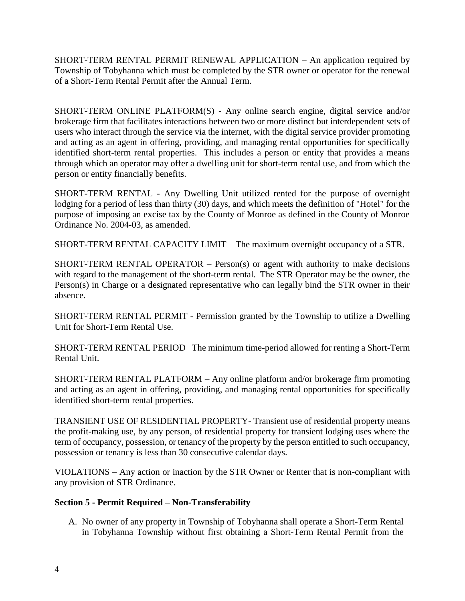SHORT-TERM RENTAL PERMIT RENEWAL APPLICATION – An application required by Township of Tobyhanna which must be completed by the STR owner or operator for the renewal of a Short-Term Rental Permit after the Annual Term.

SHORT-TERM ONLINE PLATFORM(S) - Any online search engine, digital service and/or brokerage firm that facilitates interactions between two or more distinct but interdependent sets of users who interact through the service via the internet, with the digital service provider promoting and acting as an agent in offering, providing, and managing rental opportunities for specifically identified short-term rental properties. This includes a person or entity that provides a means through which an operator may offer a dwelling unit for short-term rental use, and from which the person or entity financially benefits.

SHORT-TERM RENTAL - Any Dwelling Unit utilized rented for the purpose of overnight lodging for a period of less than thirty (30) days, and which meets the definition of "Hotel" for the purpose of imposing an excise tax by the County of Monroe as defined in the County of Monroe Ordinance No. 2004-03, as amended.

SHORT-TERM RENTAL CAPACITY LIMIT – The maximum overnight occupancy of a STR.

SHORT-TERM RENTAL OPERATOR – Person(s) or agent with authority to make decisions with regard to the management of the short-term rental. The STR Operator may be the owner, the Person(s) in Charge or a designated representative who can legally bind the STR owner in their absence.

SHORT-TERM RENTAL PERMIT - Permission granted by the Township to utilize a Dwelling Unit for Short-Term Rental Use.

SHORT-TERM RENTAL PERIOD The minimum time-period allowed for renting a Short-Term Rental Unit.

SHORT-TERM RENTAL PLATFORM – Any online platform and/or brokerage firm promoting and acting as an agent in offering, providing, and managing rental opportunities for specifically identified short-term rental properties.

TRANSIENT USE OF RESIDENTIAL PROPERTY- Transient use of residential property means the profit-making use, by any person, of residential property for transient lodging uses where the term of occupancy, possession, or tenancy of the property by the person entitled to such occupancy, possession or tenancy is less than 30 consecutive calendar days.

VIOLATIONS – Any action or inaction by the STR Owner or Renter that is non-compliant with any provision of STR Ordinance.

# **Section 5 - Permit Required – Non-Transferability**

A. No owner of any property in Township of Tobyhanna shall operate a Short-Term Rental in Tobyhanna Township without first obtaining a Short-Term Rental Permit from the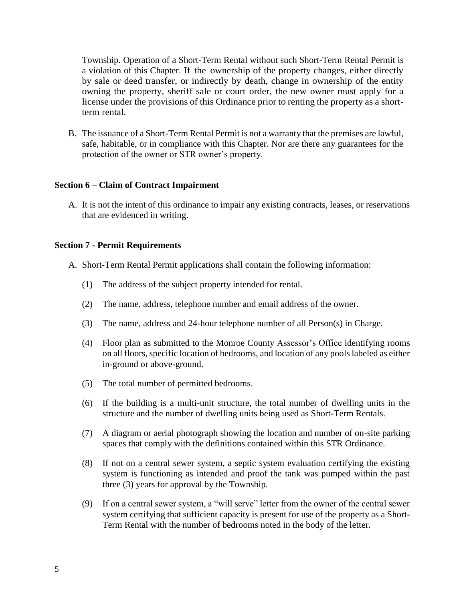Township. Operation of a Short-Term Rental without such Short-Term Rental Permit is a violation of this Chapter. If the ownership of the property changes, either directly by sale or deed transfer, or indirectly by death, change in ownership of the entity owning the property, sheriff sale or court order, the new owner must apply for a license under the provisions of this Ordinance prior to renting the property as a shortterm rental.

B. The issuance of a Short-Term Rental Permit is not a warranty that the premises are lawful, safe, habitable, or in compliance with this Chapter. Nor are there any guarantees for the protection of the owner or STR owner's property.

#### **Section 6 – Claim of Contract Impairment**

A. It is not the intent of this ordinance to impair any existing contracts, leases, or reservations that are evidenced in writing.

#### **Section 7 - Permit Requirements**

- A. Short-Term Rental Permit applications shall contain the following information:
	- (1) The address of the subject property intended for rental.
	- (2) The name, address, telephone number and email address of the owner.
	- (3) The name, address and 24-hour telephone number of all Person(s) in Charge.
	- (4) Floor plan as submitted to the Monroe County Assessor's Office identifying rooms on all floors, specific location of bedrooms, and location of any pools labeled as either in-ground or above-ground.
	- (5) The total number of permitted bedrooms.
	- (6) If the building is a multi-unit structure, the total number of dwelling units in the structure and the number of dwelling units being used as Short-Term Rentals.
	- (7) A diagram or aerial photograph showing the location and number of on-site parking spaces that comply with the definitions contained within this STR Ordinance.
	- (8) If not on a central sewer system, a septic system evaluation certifying the existing system is functioning as intended and proof the tank was pumped within the past three (3) years for approval by the Township.
	- (9) If on a central sewer system, a "will serve" letter from the owner of the central sewer system certifying that sufficient capacity is present for use of the property as a Short-Term Rental with the number of bedrooms noted in the body of the letter.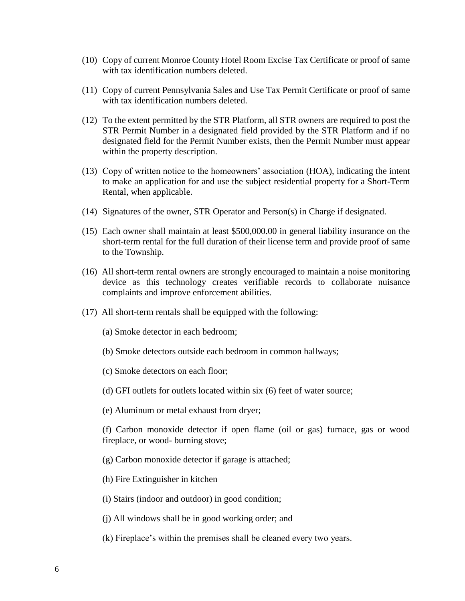- (10) Copy of current Monroe County Hotel Room Excise Tax Certificate or proof of same with tax identification numbers deleted.
- (11) Copy of current Pennsylvania Sales and Use Tax Permit Certificate or proof of same with tax identification numbers deleted.
- (12) To the extent permitted by the STR Platform, all STR owners are required to post the STR Permit Number in a designated field provided by the STR Platform and if no designated field for the Permit Number exists, then the Permit Number must appear within the property description.
- (13) Copy of written notice to the homeowners' association (HOA), indicating the intent to make an application for and use the subject residential property for a Short-Term Rental, when applicable.
- (14) Signatures of the owner, STR Operator and Person(s) in Charge if designated.
- (15) Each owner shall maintain at least \$500,000.00 in general liability insurance on the short-term rental for the full duration of their license term and provide proof of same to the Township.
- (16) All short-term rental owners are strongly encouraged to maintain a noise monitoring device as this technology creates verifiable records to collaborate nuisance complaints and improve enforcement abilities.
- (17) All short-term rentals shall be equipped with the following:
	- (a) Smoke detector in each bedroom;
	- (b) Smoke detectors outside each bedroom in common hallways;
	- (c) Smoke detectors on each floor;
	- (d) GFI outlets for outlets located within six (6) feet of water source;
	- (e) Aluminum or metal exhaust from dryer;

(f) Carbon monoxide detector if open flame (oil or gas) furnace, gas or wood fireplace, or wood- burning stove;

- (g) Carbon monoxide detector if garage is attached;
- (h) Fire Extinguisher in kitchen
- (i) Stairs (indoor and outdoor) in good condition;
- (j) All windows shall be in good working order; and
- (k) Fireplace's within the premises shall be cleaned every two years.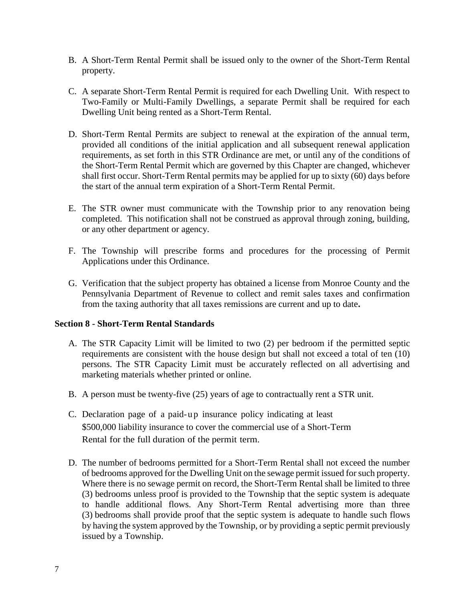- B. A Short-Term Rental Permit shall be issued only to the owner of the Short-Term Rental property.
- C. A separate Short-Term Rental Permit is required for each Dwelling Unit. With respect to Two-Family or Multi-Family Dwellings, a separate Permit shall be required for each Dwelling Unit being rented as a Short-Term Rental.
- D. Short-Term Rental Permits are subject to renewal at the expiration of the annual term, provided all conditions of the initial application and all subsequent renewal application requirements, as set forth in this STR Ordinance are met, or until any of the conditions of the Short-Term Rental Permit which are governed by this Chapter are changed, whichever shall first occur. Short-Term Rental permits may be applied for up to sixty (60) days before the start of the annual term expiration of a Short-Term Rental Permit.
- E. The STR owner must communicate with the Township prior to any renovation being completed. This notification shall not be construed as approval through zoning, building, or any other department or agency.
- F. The Township will prescribe forms and procedures for the processing of Permit Applications under this Ordinance.
- G. Verification that the subject property has obtained a license from Monroe County and the Pennsylvania Department of Revenue to collect and remit sales taxes and confirmation from the taxing authority that all taxes remissions are current and up to date**.**

### **Section 8 - Short-Term Rental Standards**

- A. The STR Capacity Limit will be limited to two (2) per bedroom if the permitted septic requirements are consistent with the house design but shall not exceed a total of ten (10) persons. The STR Capacity Limit must be accurately reflected on all advertising and marketing materials whether printed or online.
- B. A person must be twenty-five (25) years of age to contractually rent a STR unit.
- C. Declaration page of a paid-up insurance policy indicating at least \$500,000 liability insurance to cover the commercial use of a Short-Term Rental for the full duration of the permit term.
- D. The number of bedrooms permitted for a Short-Term Rental shall not exceed the number of bedrooms approved for the Dwelling Unit on the sewage permit issued for such property. Where there is no sewage permit on record, the Short-Term Rental shall be limited to three (3) bedrooms unless proof is provided to the Township that the septic system is adequate to handle additional flows. Any Short-Term Rental advertising more than three (3) bedrooms shall provide proof that the septic system is adequate to handle such flows by having the system approved by the Township, or by providing a septic permit previously issued by a Township.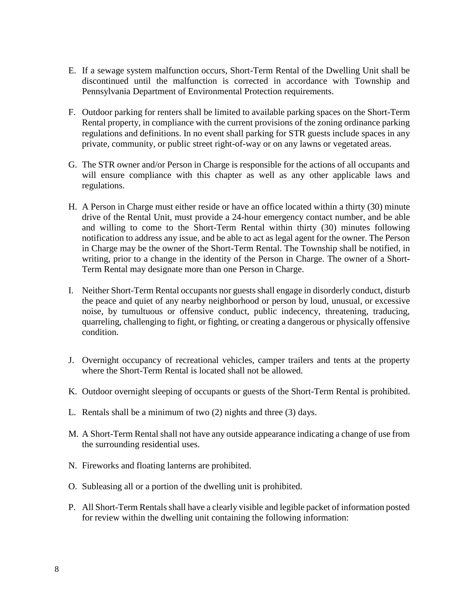- E. If a sewage system malfunction occurs, Short-Term Rental of the Dwelling Unit shall be discontinued until the malfunction is corrected in accordance with Township and Pennsylvania Department of Environmental Protection requirements.
- F. Outdoor parking for renters shall be limited to available parking spaces on the Short-Term Rental property, in compliance with the current provisions of the zoning ordinance parking regulations and definitions. In no event shall parking for STR guests include spaces in any private, community, or public street right-of-way or on any lawns or vegetated areas.
- G. The STR owner and/or Person in Charge is responsible for the actions of all occupants and will ensure compliance with this chapter as well as any other applicable laws and regulations.
- H. A Person in Charge must either reside or have an office located within a thirty (30) minute drive of the Rental Unit, must provide a 24-hour emergency contact number, and be able and willing to come to the Short-Term Rental within thirty (30) minutes following notification to address any issue, and be able to act as legal agent for the owner. The Person in Charge may be the owner of the Short-Term Rental. The Township shall be notified, in writing, prior to a change in the identity of the Person in Charge. The owner of a Short-Term Rental may designate more than one Person in Charge.
- I. Neither Short-Term Rental occupants nor guests shall engage in disorderly conduct, disturb the peace and quiet of any nearby neighborhood or person by loud, unusual, or excessive noise, by tumultuous or offensive conduct, public indecency, threatening, traducing, quarreling, challenging to fight, or fighting, or creating a dangerous or physically offensive condition.
- J. Overnight occupancy of recreational vehicles, camper trailers and tents at the property where the Short-Term Rental is located shall not be allowed.
- K. Outdoor overnight sleeping of occupants or guests of the Short-Term Rental is prohibited.
- L. Rentals shall be a minimum of two (2) nights and three (3) days.
- M. A Short-Term Rental shall not have any outside appearance indicating a change of use from the surrounding residential uses.
- N. Fireworks and floating lanterns are prohibited.
- O. Subleasing all or a portion of the dwelling unit is prohibited.
- P. All Short-Term Rentals shall have a clearly visible and legible packet of information posted for review within the dwelling unit containing the following information: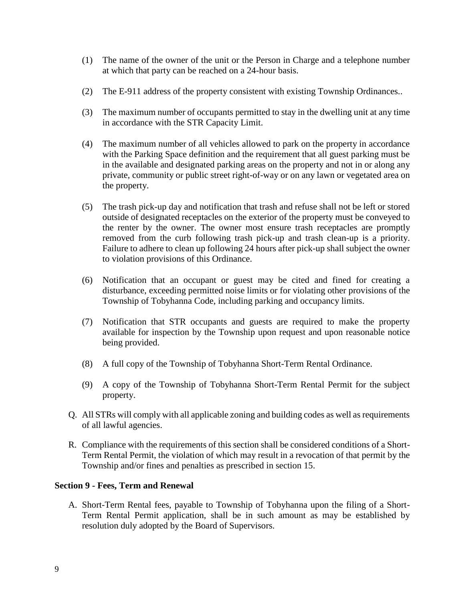- (1) The name of the owner of the unit or the Person in Charge and a telephone number at which that party can be reached on a 24-hour basis.
- (2) The E-911 address of the property consistent with existing Township Ordinances..
- (3) The maximum number of occupants permitted to stay in the dwelling unit at any time in accordance with the STR Capacity Limit.
- (4) The maximum number of all vehicles allowed to park on the property in accordance with the Parking Space definition and the requirement that all guest parking must be in the available and designated parking areas on the property and not in or along any private, community or public street right-of-way or on any lawn or vegetated area on the property.
- (5) The trash pick-up day and notification that trash and refuse shall not be left or stored outside of designated receptacles on the exterior of the property must be conveyed to the renter by the owner. The owner most ensure trash receptacles are promptly removed from the curb following trash pick-up and trash clean-up is a priority. Failure to adhere to clean up following 24 hours after pick-up shall subject the owner to violation provisions of this Ordinance.
- (6) Notification that an occupant or guest may be cited and fined for creating a disturbance, exceeding permitted noise limits or for violating other provisions of the Township of Tobyhanna Code, including parking and occupancy limits.
- (7) Notification that STR occupants and guests are required to make the property available for inspection by the Township upon request and upon reasonable notice being provided.
- (8) A full copy of the Township of Tobyhanna Short-Term Rental Ordinance.
- (9) A copy of the Township of Tobyhanna Short-Term Rental Permit for the subject property.
- Q. All STRs will comply with all applicable zoning and building codes as well as requirements of all lawful agencies.
- R. Compliance with the requirements of this section shall be considered conditions of a Short-Term Rental Permit, the violation of which may result in a revocation of that permit by the Township and/or fines and penalties as prescribed in section 15.

### **Section 9 - Fees, Term and Renewal**

A. Short-Term Rental fees, payable to Township of Tobyhanna upon the filing of a Short-Term Rental Permit application, shall be in such amount as may be established by resolution duly adopted by the Board of Supervisors.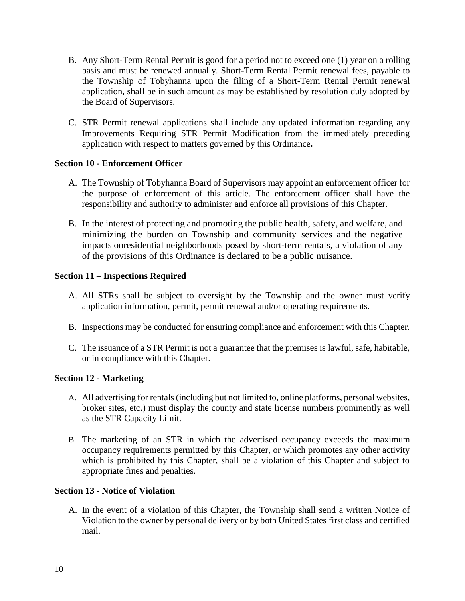- B. Any Short-Term Rental Permit is good for a period not to exceed one (1) year on a rolling basis and must be renewed annually. Short-Term Rental Permit renewal fees, payable to the Township of Tobyhanna upon the filing of a Short-Term Rental Permit renewal application, shall be in such amount as may be established by resolution duly adopted by the Board of Supervisors.
- C. STR Permit renewal applications shall include any updated information regarding any Improvements Requiring STR Permit Modification from the immediately preceding application with respect to matters governed by this Ordinance**.**

# **Section 10 - Enforcement Officer**

- A. The Township of Tobyhanna Board of Supervisors may appoint an enforcement officer for the purpose of enforcement of this article. The enforcement officer shall have the responsibility and authority to administer and enforce all provisions of this Chapter.
- B. In the interest of protecting and promoting the public health, safety, and welfare, and minimizing the burden on Township and community services and the negative impacts onresidential neighborhoods posed by short-term rentals, a violation of any of the provisions of this Ordinance is declared to be a public nuisance.

# **Section 11 – Inspections Required**

- A. All STRs shall be subject to oversight by the Township and the owner must verify application information, permit, permit renewal and/or operating requirements.
- B. Inspections may be conducted for ensuring compliance and enforcement with this Chapter.
- C. The issuance of a STR Permit is not a guarantee that the premises is lawful, safe, habitable, or in compliance with this Chapter.

### **Section 12 - Marketing**

- A. All advertising for rentals (including but not limited to, online platforms, personal websites, broker sites, etc.) must display the county and state license numbers prominently as well as the STR Capacity Limit.
- B. The marketing of an STR in which the advertised occupancy exceeds the maximum occupancy requirements permitted by this Chapter, or which promotes any other activity which is prohibited by this Chapter, shall be a violation of this Chapter and subject to appropriate fines and penalties.

### **Section 13 - Notice of Violation**

A. In the event of a violation of this Chapter, the Township shall send a written Notice of Violation to the owner by personal delivery or by both United States first class and certified mail.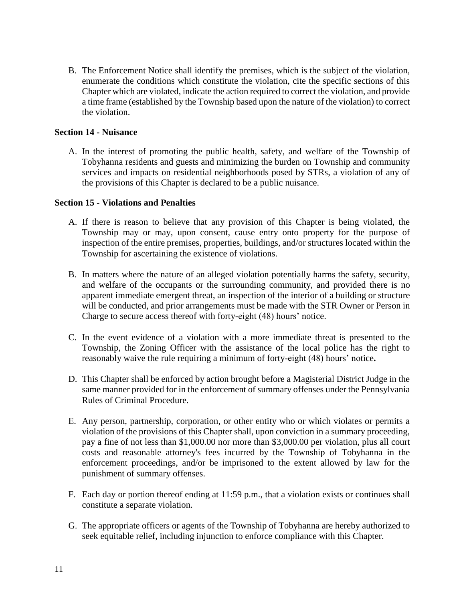B. The Enforcement Notice shall identify the premises, which is the subject of the violation, enumerate the conditions which constitute the violation, cite the specific sections of this Chapter which are violated, indicate the action required to correct the violation, and provide a time frame (established by the Township based upon the nature of the violation) to correct the violation.

### **Section 14 - Nuisance**

A. In the interest of promoting the public health, safety, and welfare of the Township of Tobyhanna residents and guests and minimizing the burden on Township and community services and impacts on residential neighborhoods posed by STRs, a violation of any of the provisions of this Chapter is declared to be a public nuisance.

### **Section 15 - Violations and Penalties**

- A. If there is reason to believe that any provision of this Chapter is being violated, the Township may or may, upon consent, cause entry onto property for the purpose of inspection of the entire premises, properties, buildings, and/or structures located within the Township for ascertaining the existence of violations.
- B. In matters where the nature of an alleged violation potentially harms the safety, security, and welfare of the occupants or the surrounding community, and provided there is no apparent immediate emergent threat, an inspection of the interior of a building or structure will be conducted, and prior arrangements must be made with the STR Owner or Person in Charge to secure access thereof with forty-eight (48) hours' notice.
- C. In the event evidence of a violation with a more immediate threat is presented to the Township, the Zoning Officer with the assistance of the local police has the right to reasonably waive the rule requiring a minimum of forty-eight (48) hours' notice**.**
- D. This Chapter shall be enforced by action brought before a Magisterial District Judge in the same manner provided for in the enforcement of summary offenses under the Pennsylvania Rules of Criminal Procedure.
- E. Any person, partnership, corporation, or other entity who or which violates or permits a violation of the provisions of this Chapter shall, upon conviction in a summary proceeding, pay a fine of not less than \$1,000.00 nor more than \$3,000.00 per violation, plus all court costs and reasonable attorney's fees incurred by the Township of Tobyhanna in the enforcement proceedings, and/or be imprisoned to the extent allowed by law for the punishment of summary offenses.
- F. Each day or portion thereof ending at 11:59 p.m., that a violation exists or continues shall constitute a separate violation.
- G. The appropriate officers or agents of the Township of Tobyhanna are hereby authorized to seek equitable relief, including injunction to enforce compliance with this Chapter.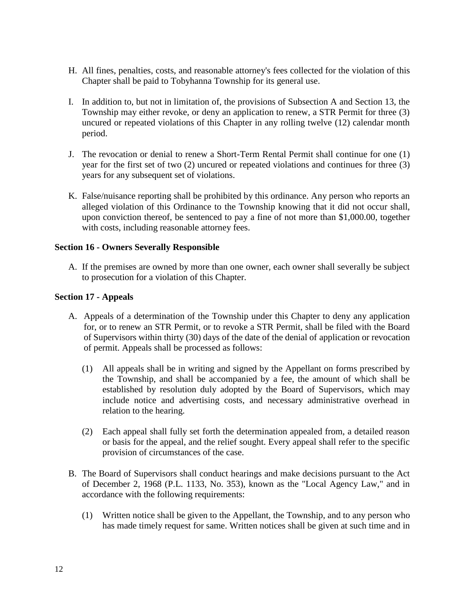- H. All fines, penalties, costs, and reasonable attorney's fees collected for the violation of this Chapter shall be paid to Tobyhanna Township for its general use.
- I. In addition to, but not in limitation of, the provisions of Subsection A and Section 13, the Township may either revoke, or deny an application to renew, a STR Permit for three (3) uncured or repeated violations of this Chapter in any rolling twelve (12) calendar month period.
- J. The revocation or denial to renew a Short-Term Rental Permit shall continue for one (1) year for the first set of two (2) uncured or repeated violations and continues for three (3) years for any subsequent set of violations.
- K. False/nuisance reporting shall be prohibited by this ordinance. Any person who reports an alleged violation of this Ordinance to the Township knowing that it did not occur shall, upon conviction thereof, be sentenced to pay a fine of not more than \$1,000.00, together with costs, including reasonable attorney fees.

# **Section 16 - Owners Severally Responsible**

A. If the premises are owned by more than one owner, each owner shall severally be subject to prosecution for a violation of this Chapter.

# **Section 17 - Appeals**

- A. Appeals of a determination of the Township under this Chapter to deny any application for, or to renew an STR Permit, or to revoke a STR Permit, shall be filed with the Board of Supervisors within thirty (30) days of the date of the denial of application or revocation of permit. Appeals shall be processed as follows:
	- (1) All appeals shall be in writing and signed by the Appellant on forms prescribed by the Township, and shall be accompanied by a fee, the amount of which shall be established by resolution duly adopted by the Board of Supervisors, which may include notice and advertising costs, and necessary administrative overhead in relation to the hearing.
	- (2) Each appeal shall fully set forth the determination appealed from, a detailed reason or basis for the appeal, and the relief sought. Every appeal shall refer to the specific provision of circumstances of the case.
- B. The Board of Supervisors shall conduct hearings and make decisions pursuant to the Act of December 2, 1968 (P.L. 1133, No. 353), known as the "Local Agency Law," and in accordance with the following requirements:
	- (1) Written notice shall be given to the Appellant, the Township, and to any person who has made timely request for same. Written notices shall be given at such time and in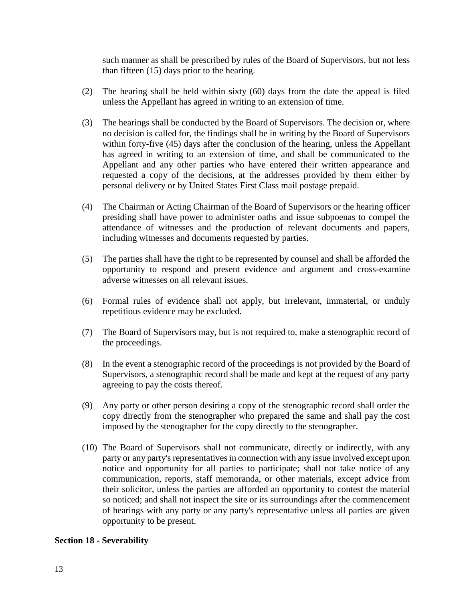such manner as shall be prescribed by rules of the Board of Supervisors, but not less than fifteen (15) days prior to the hearing.

- (2) The hearing shall be held within sixty (60) days from the date the appeal is filed unless the Appellant has agreed in writing to an extension of time.
- (3) The hearings shall be conducted by the Board of Supervisors. The decision or, where no decision is called for, the findings shall be in writing by the Board of Supervisors within forty-five (45) days after the conclusion of the hearing, unless the Appellant has agreed in writing to an extension of time, and shall be communicated to the Appellant and any other parties who have entered their written appearance and requested a copy of the decisions, at the addresses provided by them either by personal delivery or by United States First Class mail postage prepaid.
- (4) The Chairman or Acting Chairman of the Board of Supervisors or the hearing officer presiding shall have power to administer oaths and issue subpoenas to compel the attendance of witnesses and the production of relevant documents and papers, including witnesses and documents requested by parties.
- (5) The parties shall have the right to be represented by counsel and shall be afforded the opportunity to respond and present evidence and argument and cross-examine adverse witnesses on all relevant issues.
- (6) Formal rules of evidence shall not apply, but irrelevant, immaterial, or unduly repetitious evidence may be excluded.
- (7) The Board of Supervisors may, but is not required to, make a stenographic record of the proceedings.
- (8) In the event a stenographic record of the proceedings is not provided by the Board of Supervisors, a stenographic record shall be made and kept at the request of any party agreeing to pay the costs thereof.
- (9) Any party or other person desiring a copy of the stenographic record shall order the copy directly from the stenographer who prepared the same and shall pay the cost imposed by the stenographer for the copy directly to the stenographer.
- (10) The Board of Supervisors shall not communicate, directly or indirectly, with any party or any party's representatives in connection with any issue involved except upon notice and opportunity for all parties to participate; shall not take notice of any communication, reports, staff memoranda, or other materials, except advice from their solicitor, unless the parties are afforded an opportunity to contest the material so noticed; and shall not inspect the site or its surroundings after the commencement of hearings with any party or any party's representative unless all parties are given opportunity to be present.

### **Section 18 - Severability**